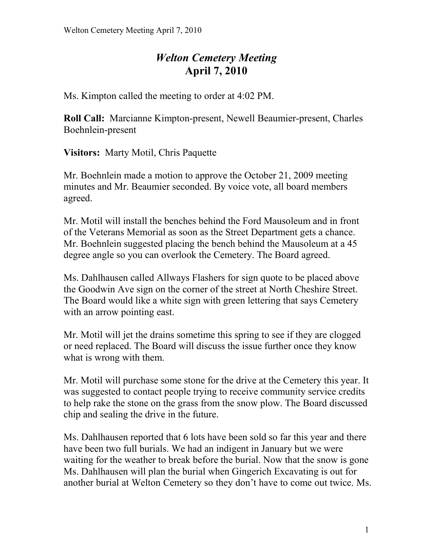## *Welton Cemetery Meeting*  **April 7, 2010**

Ms. Kimpton called the meeting to order at 4:02 PM.

**Roll Call:** Marcianne Kimpton-present, Newell Beaumier-present, Charles Boehnlein-present

**Visitors:** Marty Motil, Chris Paquette

Mr. Boehnlein made a motion to approve the October 21, 2009 meeting minutes and Mr. Beaumier seconded. By voice vote, all board members agreed.

Mr. Motil will install the benches behind the Ford Mausoleum and in front of the Veterans Memorial as soon as the Street Department gets a chance. Mr. Boehnlein suggested placing the bench behind the Mausoleum at a 45 degree angle so you can overlook the Cemetery. The Board agreed.

Ms. Dahlhausen called Allways Flashers for sign quote to be placed above the Goodwin Ave sign on the corner of the street at North Cheshire Street. The Board would like a white sign with green lettering that says Cemetery with an arrow pointing east.

Mr. Motil will jet the drains sometime this spring to see if they are clogged or need replaced. The Board will discuss the issue further once they know what is wrong with them.

Mr. Motil will purchase some stone for the drive at the Cemetery this year. It was suggested to contact people trying to receive community service credits to help rake the stone on the grass from the snow plow. The Board discussed chip and sealing the drive in the future.

Ms. Dahlhausen reported that 6 lots have been sold so far this year and there have been two full burials. We had an indigent in January but we were waiting for the weather to break before the burial. Now that the snow is gone Ms. Dahlhausen will plan the burial when Gingerich Excavating is out for another burial at Welton Cemetery so they don't have to come out twice. Ms.